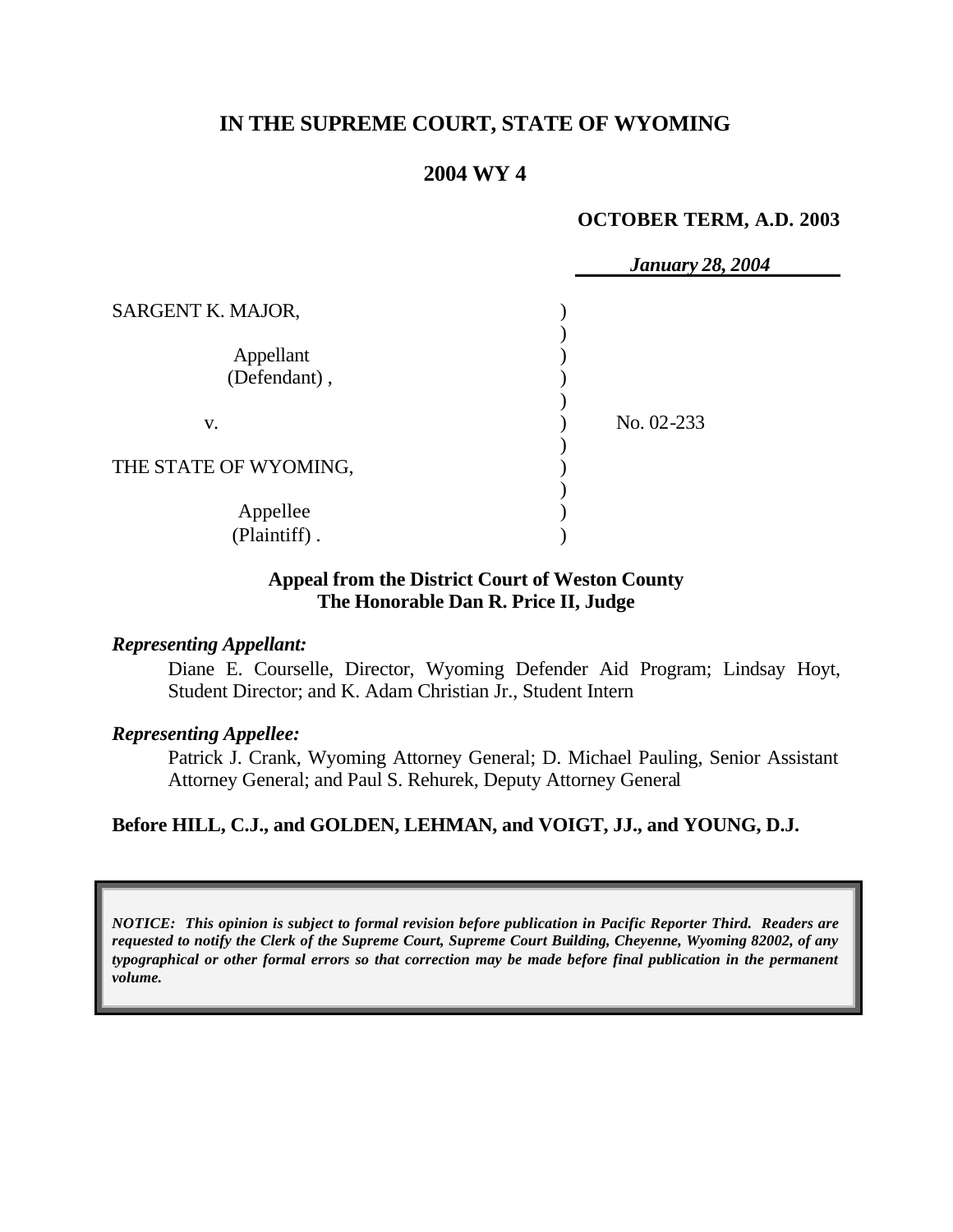# **IN THE SUPREME COURT, STATE OF WYOMING**

### **2004 WY 4**

#### **OCTOBER TERM, A.D. 2003**

|                           | <b>January 28, 2004</b> |
|---------------------------|-------------------------|
| SARGENT K. MAJOR,         |                         |
| Appellant<br>(Defendant), |                         |
| v.                        | No. 02-233              |
| THE STATE OF WYOMING,     |                         |
| Appellee<br>(Plaintiff).  |                         |

### **Appeal from the District Court of Weston County The Honorable Dan R. Price II, Judge**

### *Representing Appellant:*

Diane E. Courselle, Director, Wyoming Defender Aid Program; Lindsay Hoyt, Student Director; and K. Adam Christian Jr., Student Intern

### *Representing Appellee:*

Patrick J. Crank, Wyoming Attorney General; D. Michael Pauling, Senior Assistant Attorney General; and Paul S. Rehurek, Deputy Attorney General

### **Before HILL, C.J., and GOLDEN, LEHMAN, and VOIGT, JJ., and YOUNG, D.J.**

*NOTICE: This opinion is subject to formal revision before publication in Pacific Reporter Third. Readers are requested to notify the Clerk of the Supreme Court, Supreme Court Building, Cheyenne, Wyoming 82002, of any typographical or other formal errors so that correction may be made before final publication in the permanent volume.*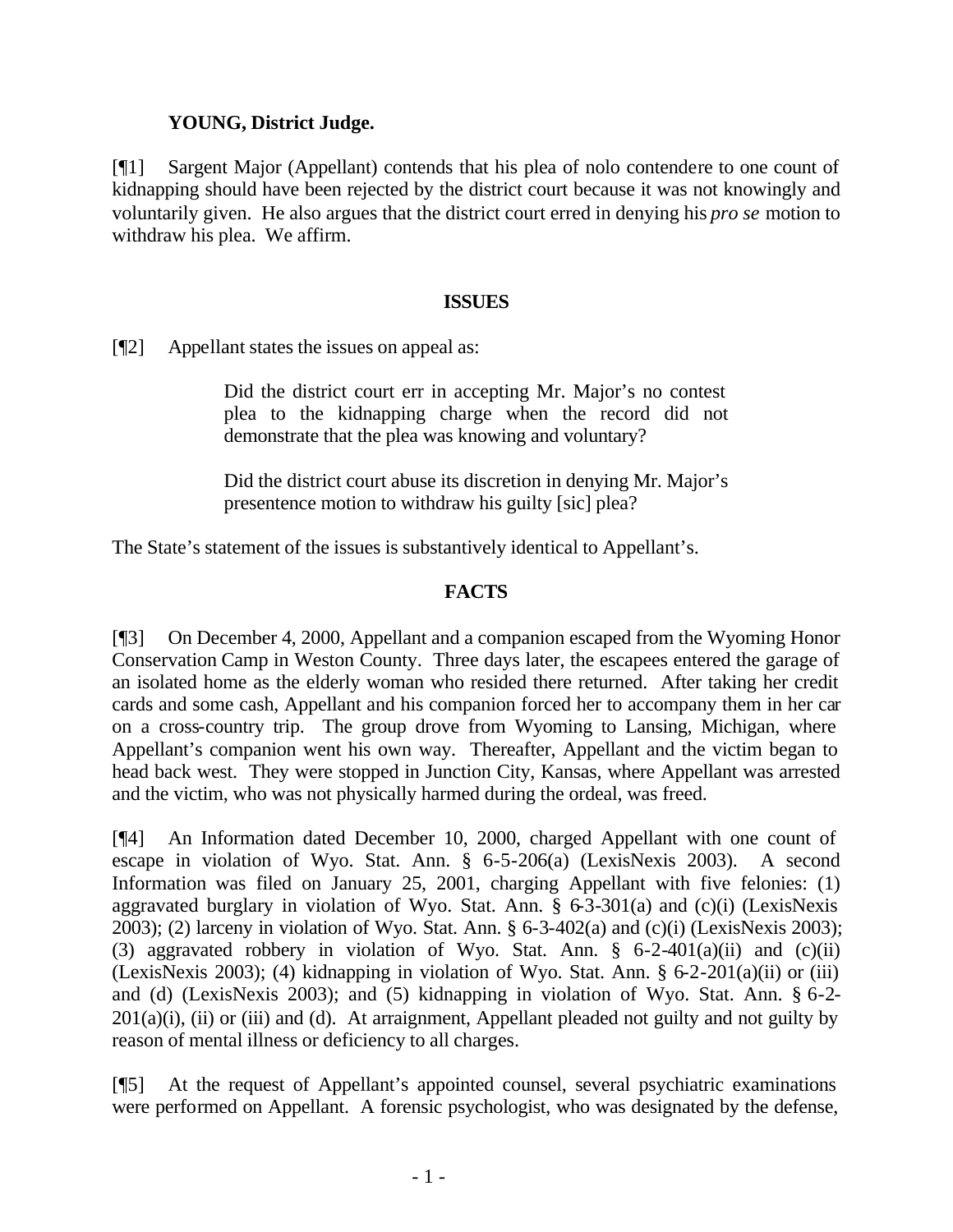### **YOUNG, District Judge.**

[¶1] Sargent Major (Appellant) contends that his plea of nolo contendere to one count of kidnapping should have been rejected by the district court because it was not knowingly and voluntarily given. He also argues that the district court erred in denying his *pro se* motion to withdraw his plea. We affirm.

### **ISSUES**

[¶2] Appellant states the issues on appeal as:

Did the district court err in accepting Mr. Major's no contest plea to the kidnapping charge when the record did not demonstrate that the plea was knowing and voluntary?

Did the district court abuse its discretion in denying Mr. Major's presentence motion to withdraw his guilty [sic] plea?

The State's statement of the issues is substantively identical to Appellant's.

## **FACTS**

[¶3] On December 4, 2000, Appellant and a companion escaped from the Wyoming Honor Conservation Camp in Weston County. Three days later, the escapees entered the garage of an isolated home as the elderly woman who resided there returned. After taking her credit cards and some cash, Appellant and his companion forced her to accompany them in her car on a cross-country trip. The group drove from Wyoming to Lansing, Michigan, where Appellant's companion went his own way. Thereafter, Appellant and the victim began to head back west. They were stopped in Junction City, Kansas, where Appellant was arrested and the victim, who was not physically harmed during the ordeal, was freed.

[¶4] An Information dated December 10, 2000, charged Appellant with one count of escape in violation of Wyo. Stat. Ann. § 6-5-206(a) (LexisNexis 2003). A second Information was filed on January 25, 2001, charging Appellant with five felonies: (1) aggravated burglary in violation of Wyo. Stat. Ann. § 6-3-301(a) and (c)(i) (LexisNexis 2003); (2) larceny in violation of Wyo. Stat. Ann. § 6-3-402(a) and (c)(i) (LexisNexis 2003); (3) aggravated robbery in violation of Wyo. Stat. Ann. § 6-2-401(a)(ii) and (c)(ii) (LexisNexis 2003); (4) kidnapping in violation of Wyo. Stat. Ann. § 6-2-201(a)(ii) or (iii) and (d) (LexisNexis 2003); and (5) kidnapping in violation of Wyo. Stat. Ann. § 6-2-  $201(a)(i)$ , (ii) or (iii) and (d). At arraignment, Appellant pleaded not guilty and not guilty by reason of mental illness or deficiency to all charges.

[¶5] At the request of Appellant's appointed counsel, several psychiatric examinations were performed on Appellant. A forensic psychologist, who was designated by the defense,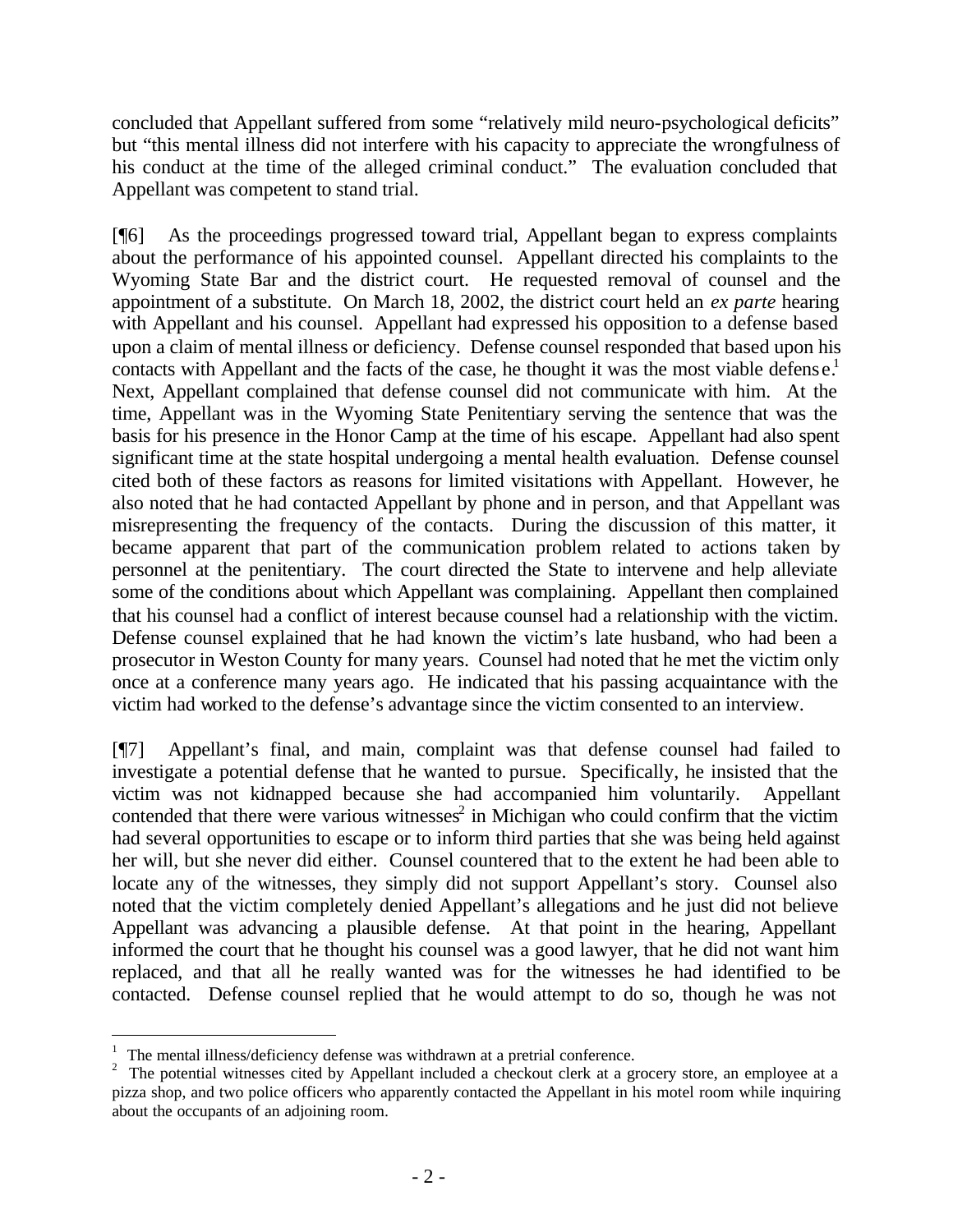concluded that Appellant suffered from some "relatively mild neuro-psychological deficits" but "this mental illness did not interfere with his capacity to appreciate the wrongfulness of his conduct at the time of the alleged criminal conduct." The evaluation concluded that Appellant was competent to stand trial.

[¶6] As the proceedings progressed toward trial, Appellant began to express complaints about the performance of his appointed counsel. Appellant directed his complaints to the Wyoming State Bar and the district court. He requested removal of counsel and the appointment of a substitute. On March 18, 2002, the district court held an *ex parte* hearing with Appellant and his counsel. Appellant had expressed his opposition to a defense based upon a claim of mental illness or deficiency. Defense counsel responded that based upon his contacts with Appellant and the facts of the case, he thought it was the most viable defense.<sup>1</sup> Next, Appellant complained that defense counsel did not communicate with him. At the time, Appellant was in the Wyoming State Penitentiary serving the sentence that was the basis for his presence in the Honor Camp at the time of his escape. Appellant had also spent significant time at the state hospital undergoing a mental health evaluation. Defense counsel cited both of these factors as reasons for limited visitations with Appellant. However, he also noted that he had contacted Appellant by phone and in person, and that Appellant was misrepresenting the frequency of the contacts. During the discussion of this matter, it became apparent that part of the communication problem related to actions taken by personnel at the penitentiary. The court directed the State to intervene and help alleviate some of the conditions about which Appellant was complaining. Appellant then complained that his counsel had a conflict of interest because counsel had a relationship with the victim. Defense counsel explained that he had known the victim's late husband, who had been a prosecutor in Weston County for many years. Counsel had noted that he met the victim only once at a conference many years ago. He indicated that his passing acquaintance with the victim had worked to the defense's advantage since the victim consented to an interview.

[¶7] Appellant's final, and main, complaint was that defense counsel had failed to investigate a potential defense that he wanted to pursue. Specifically, he insisted that the victim was not kidnapped because she had accompanied him voluntarily. Appellant contended that there were various witnesses<sup>2</sup> in Michigan who could confirm that the victim had several opportunities to escape or to inform third parties that she was being held against her will, but she never did either. Counsel countered that to the extent he had been able to locate any of the witnesses, they simply did not support Appellant's story. Counsel also noted that the victim completely denied Appellant's allegations and he just did not believe Appellant was advancing a plausible defense. At that point in the hearing, Appellant informed the court that he thought his counsel was a good lawyer, that he did not want him replaced, and that all he really wanted was for the witnesses he had identified to be contacted. Defense counsel replied that he would attempt to do so, though he was not

l

 $1$  The mental illness/deficiency defense was withdrawn at a pretrial conference.

<sup>&</sup>lt;sup>2</sup> The potential witnesses cited by Appellant included a checkout clerk at a grocery store, an employee at a pizza shop, and two police officers who apparently contacted the Appellant in his motel room while inquiring about the occupants of an adjoining room.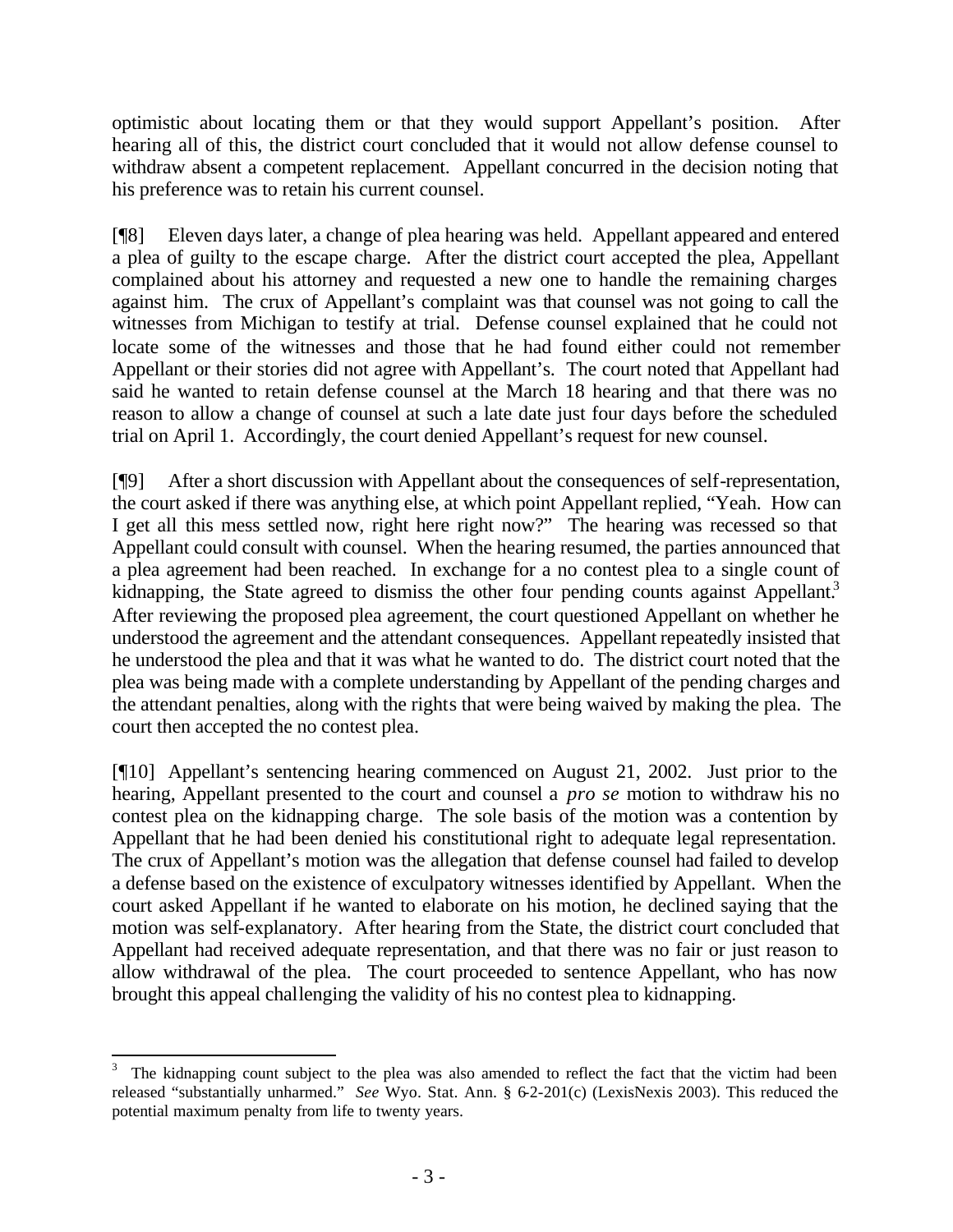optimistic about locating them or that they would support Appellant's position. After hearing all of this, the district court concluded that it would not allow defense counsel to withdraw absent a competent replacement. Appellant concurred in the decision noting that his preference was to retain his current counsel.

[¶8] Eleven days later, a change of plea hearing was held. Appellant appeared and entered a plea of guilty to the escape charge. After the district court accepted the plea, Appellant complained about his attorney and requested a new one to handle the remaining charges against him. The crux of Appellant's complaint was that counsel was not going to call the witnesses from Michigan to testify at trial. Defense counsel explained that he could not locate some of the witnesses and those that he had found either could not remember Appellant or their stories did not agree with Appellant's. The court noted that Appellant had said he wanted to retain defense counsel at the March 18 hearing and that there was no reason to allow a change of counsel at such a late date just four days before the scheduled trial on April 1. Accordingly, the court denied Appellant's request for new counsel.

[¶9] After a short discussion with Appellant about the consequences of self-representation, the court asked if there was anything else, at which point Appellant replied, "Yeah. How can I get all this mess settled now, right here right now?" The hearing was recessed so that Appellant could consult with counsel. When the hearing resumed, the parties announced that a plea agreement had been reached. In exchange for a no contest plea to a single count of kidnapping, the State agreed to dismiss the other four pending counts against Appellant.<sup>3</sup> After reviewing the proposed plea agreement, the court questioned Appellant on whether he understood the agreement and the attendant consequences. Appellant repeatedly insisted that he understood the plea and that it was what he wanted to do. The district court noted that the plea was being made with a complete understanding by Appellant of the pending charges and the attendant penalties, along with the rights that were being waived by making the plea. The court then accepted the no contest plea.

[¶10] Appellant's sentencing hearing commenced on August 21, 2002. Just prior to the hearing, Appellant presented to the court and counsel a *pro se* motion to withdraw his no contest plea on the kidnapping charge. The sole basis of the motion was a contention by Appellant that he had been denied his constitutional right to adequate legal representation. The crux of Appellant's motion was the allegation that defense counsel had failed to develop a defense based on the existence of exculpatory witnesses identified by Appellant. When the court asked Appellant if he wanted to elaborate on his motion, he declined saying that the motion was self-explanatory. After hearing from the State, the district court concluded that Appellant had received adequate representation, and that there was no fair or just reason to allow withdrawal of the plea. The court proceeded to sentence Appellant, who has now brought this appeal challenging the validity of his no contest plea to kidnapping.

l

<sup>3</sup> The kidnapping count subject to the plea was also amended to reflect the fact that the victim had been released "substantially unharmed." *See* Wyo. Stat. Ann. § 6-2-201(c) (LexisNexis 2003). This reduced the potential maximum penalty from life to twenty years.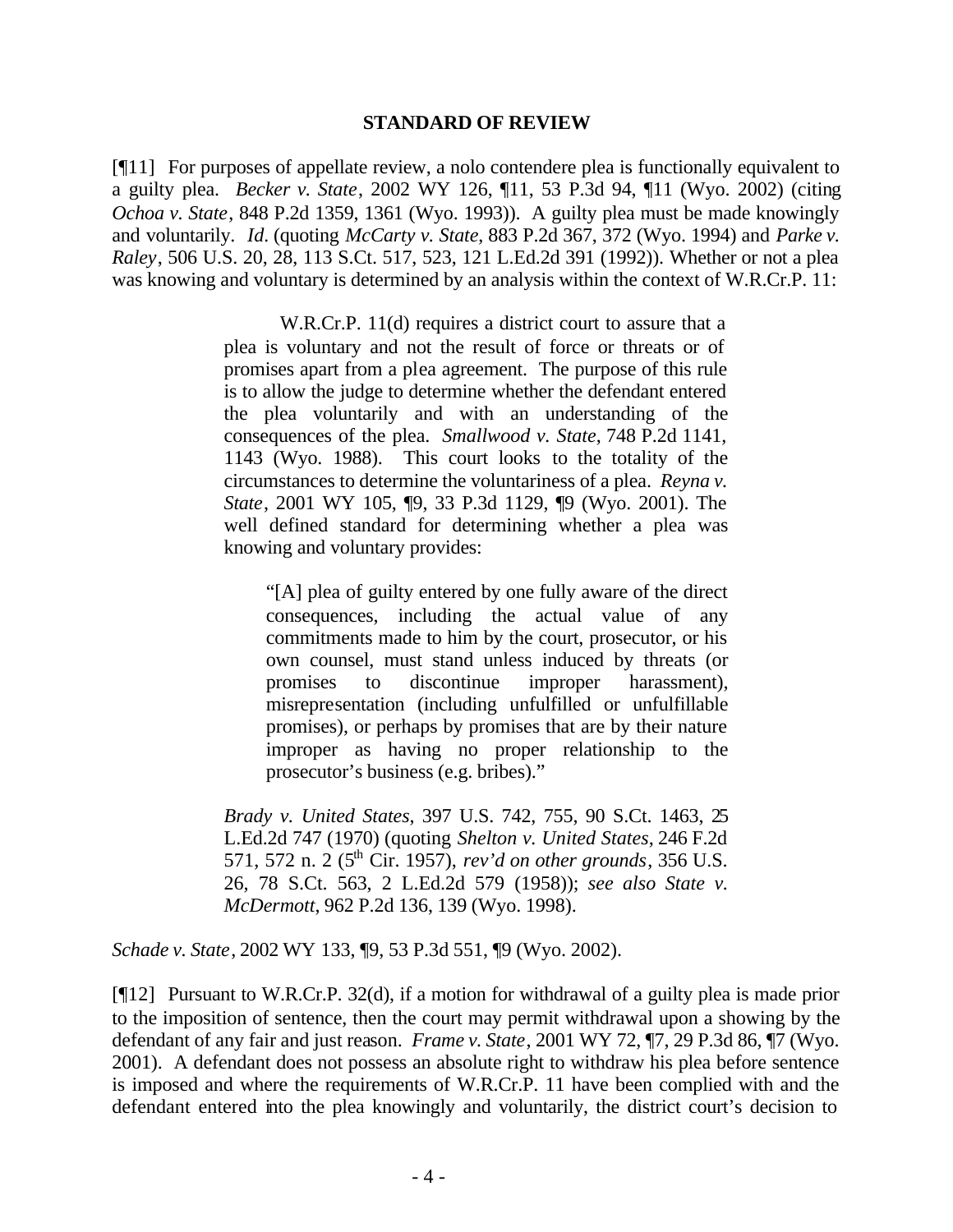### **STANDARD OF REVIEW**

[¶11] For purposes of appellate review, a nolo contendere plea is functionally equivalent to a guilty plea. *Becker v. State*, 2002 WY 126, ¶11, 53 P.3d 94, ¶11 (Wyo. 2002) (citing *Ochoa v. State*, 848 P.2d 1359, 1361 (Wyo. 1993)). A guilty plea must be made knowingly and voluntarily. *Id.* (quoting *McCarty v. State*, 883 P.2d 367, 372 (Wyo. 1994) and *Parke v. Raley*, 506 U.S. 20, 28, 113 S.Ct. 517, 523, 121 L.Ed.2d 391 (1992)). Whether or not a plea was knowing and voluntary is determined by an analysis within the context of W.R.Cr.P. 11:

> W.R.Cr.P. 11(d) requires a district court to assure that a plea is voluntary and not the result of force or threats or of promises apart from a plea agreement. The purpose of this rule is to allow the judge to determine whether the defendant entered the plea voluntarily and with an understanding of the consequences of the plea. *Smallwood v. State*, 748 P.2d 1141, 1143 (Wyo. 1988). This court looks to the totality of the circumstances to determine the voluntariness of a plea. *Reyna v. State*, 2001 WY 105, ¶9, 33 P.3d 1129, ¶9 (Wyo. 2001). The well defined standard for determining whether a plea was knowing and voluntary provides:

"[A] plea of guilty entered by one fully aware of the direct consequences, including the actual value of any commitments made to him by the court, prosecutor, or his own counsel, must stand unless induced by threats (or promises to discontinue improper harassment), misrepresentation (including unfulfilled or unfulfillable promises), or perhaps by promises that are by their nature improper as having no proper relationship to the prosecutor's business (e.g. bribes)."

*Brady v. United States*, 397 U.S. 742, 755, 90 S.Ct. 1463, 25 L.Ed.2d 747 (1970) (quoting *Shelton v. United States*, 246 F.2d 571, 572 n. 2 (5th Cir. 1957), *rev'd on other grounds*, 356 U.S. 26, 78 S.Ct. 563, 2 L.Ed.2d 579 (1958)); *see also State v. McDermott*, 962 P.2d 136, 139 (Wyo. 1998).

*Schade v. State*, 2002 WY 133, ¶9, 53 P.3d 551, ¶9 (Wyo. 2002).

[¶12] Pursuant to W.R.Cr.P. 32(d), if a motion for withdrawal of a guilty plea is made prior to the imposition of sentence, then the court may permit withdrawal upon a showing by the defendant of any fair and just reason. *Frame v. State*, 2001 WY 72, ¶7, 29 P.3d 86, ¶7 (Wyo. 2001). A defendant does not possess an absolute right to withdraw his plea before sentence is imposed and where the requirements of W.R.Cr.P. 11 have been complied with and the defendant entered into the plea knowingly and voluntarily, the district court's decision to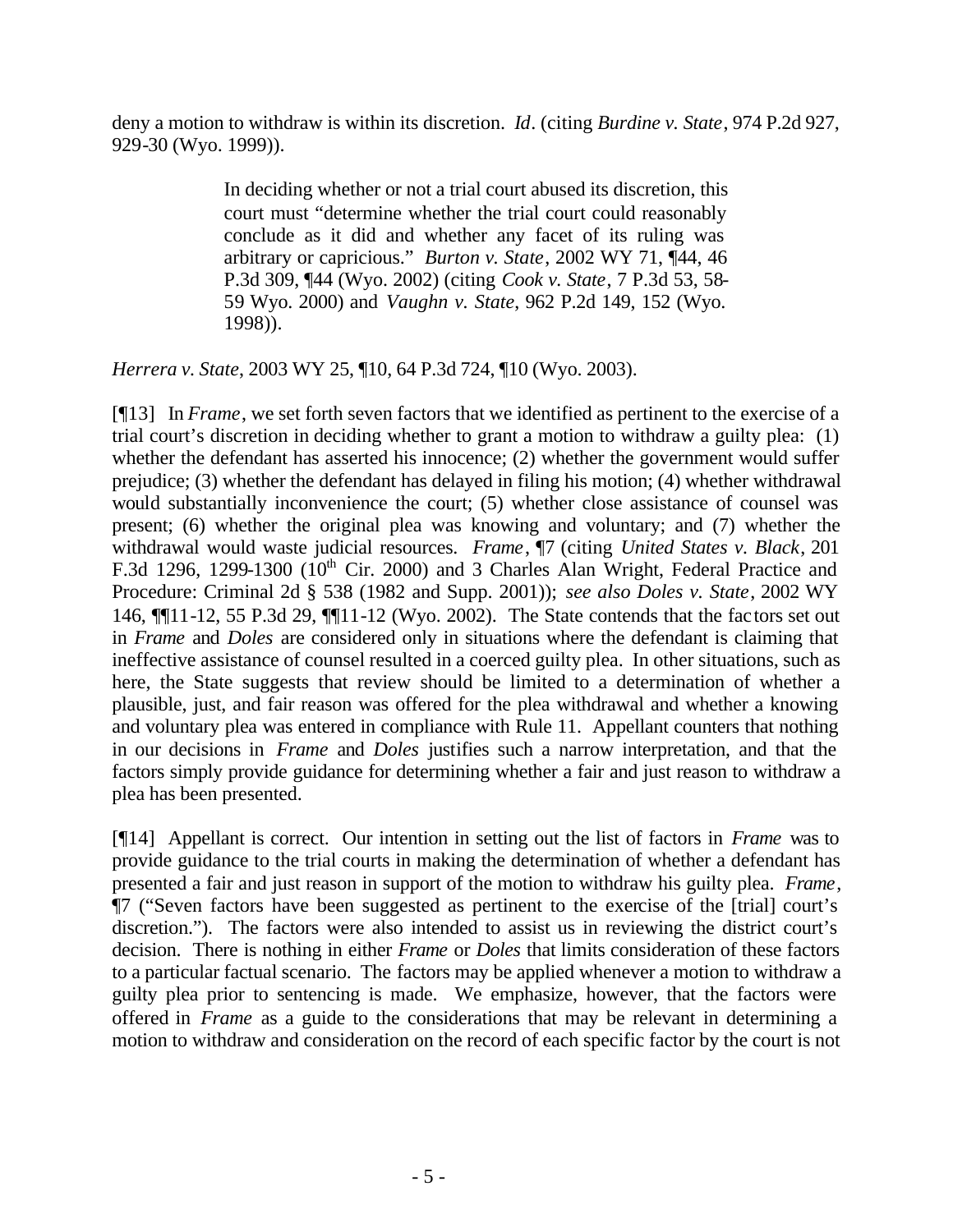deny a motion to withdraw is within its discretion. *Id*. (citing *Burdine v. State*, 974 P.2d 927, 929-30 (Wyo. 1999)).

> In deciding whether or not a trial court abused its discretion, this court must "determine whether the trial court could reasonably conclude as it did and whether any facet of its ruling was arbitrary or capricious." *Burton v. State*, 2002 WY 71, ¶44, 46 P.3d 309, ¶44 (Wyo. 2002) (citing *Cook v. State*, 7 P.3d 53, 58- 59 Wyo. 2000) and *Vaughn v. State*, 962 P.2d 149, 152 (Wyo. 1998)).

*Herrera v. State*, 2003 WY 25, ¶10, 64 P.3d 724, ¶10 (Wyo. 2003).

[¶13] In *Frame*, we set forth seven factors that we identified as pertinent to the exercise of a trial court's discretion in deciding whether to grant a motion to withdraw a guilty plea: (1) whether the defendant has asserted his innocence; (2) whether the government would suffer prejudice; (3) whether the defendant has delayed in filing his motion; (4) whether withdrawal would substantially inconvenience the court; (5) whether close assistance of counsel was present; (6) whether the original plea was knowing and voluntary; and (7) whether the withdrawal would waste judicial resources. *Frame*, ¶7 (citing *United States v. Black*, 201 F.3d 1296, 1299-1300 ( $10<sup>th</sup>$  Cir. 2000) and 3 Charles Alan Wright, Federal Practice and Procedure: Criminal 2d § 538 (1982 and Supp. 2001)); *see also Doles v. State*, 2002 WY 146, ¶¶11-12, 55 P.3d 29, ¶¶11-12 (Wyo. 2002). The State contends that the factors set out in *Frame* and *Doles* are considered only in situations where the defendant is claiming that ineffective assistance of counsel resulted in a coerced guilty plea. In other situations, such as here, the State suggests that review should be limited to a determination of whether a plausible, just, and fair reason was offered for the plea withdrawal and whether a knowing and voluntary plea was entered in compliance with Rule 11. Appellant counters that nothing in our decisions in *Frame* and *Doles* justifies such a narrow interpretation, and that the factors simply provide guidance for determining whether a fair and just reason to withdraw a plea has been presented.

[¶14] Appellant is correct. Our intention in setting out the list of factors in *Frame* was to provide guidance to the trial courts in making the determination of whether a defendant has presented a fair and just reason in support of the motion to withdraw his guilty plea. *Frame*, ¶7 ("Seven factors have been suggested as pertinent to the exercise of the [trial] court's discretion."). The factors were also intended to assist us in reviewing the district court's decision. There is nothing in either *Frame* or *Doles* that limits consideration of these factors to a particular factual scenario. The factors may be applied whenever a motion to withdraw a guilty plea prior to sentencing is made. We emphasize, however, that the factors were offered in *Frame* as a guide to the considerations that may be relevant in determining a motion to withdraw and consideration on the record of each specific factor by the court is not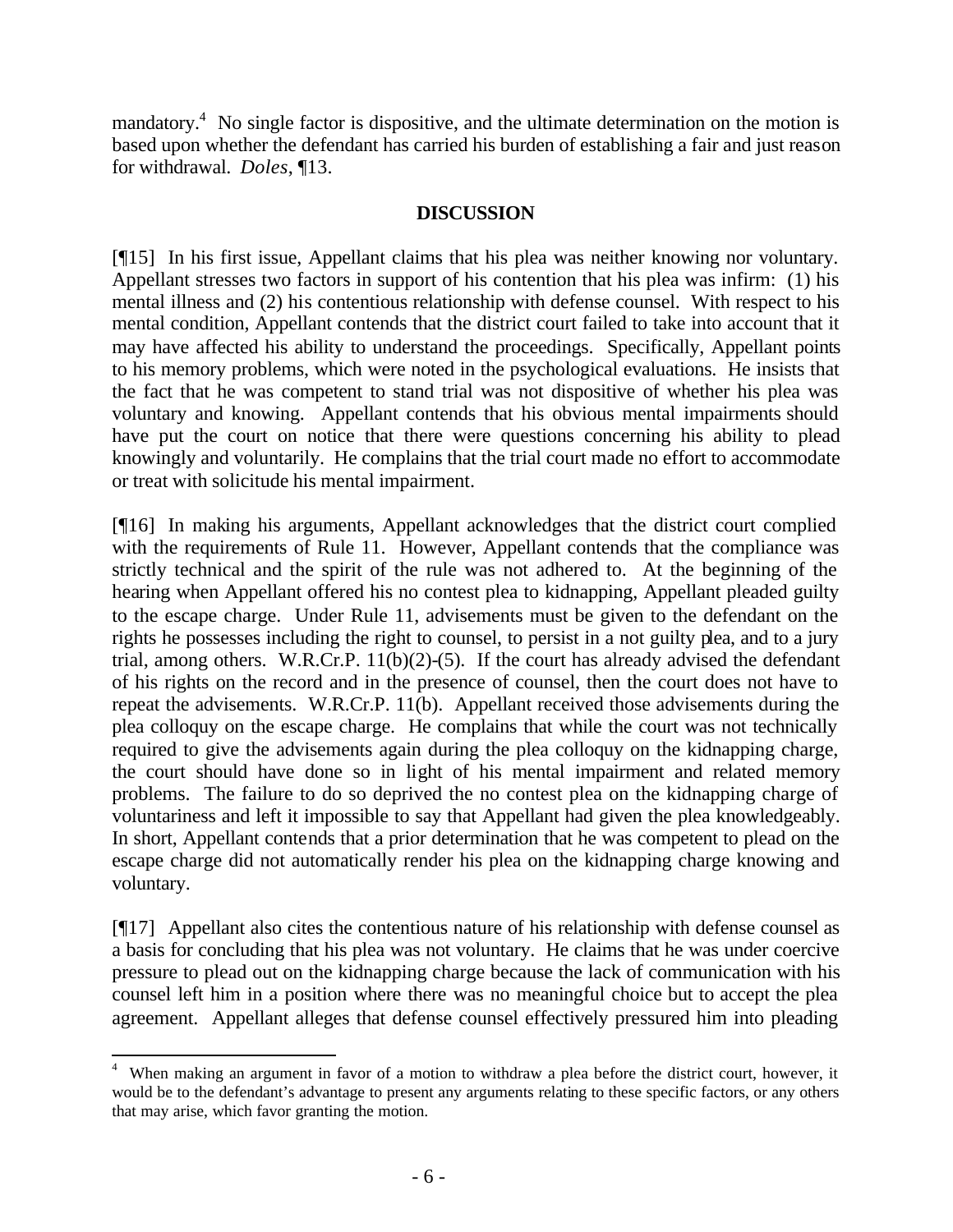mandatory.<sup>4</sup> No single factor is dispositive, and the ultimate determination on the motion is based upon whether the defendant has carried his burden of establishing a fair and just reason for withdrawal. *Doles*, ¶13.

## **DISCUSSION**

[¶15] In his first issue, Appellant claims that his plea was neither knowing nor voluntary. Appellant stresses two factors in support of his contention that his plea was infirm: (1) his mental illness and (2) his contentious relationship with defense counsel. With respect to his mental condition, Appellant contends that the district court failed to take into account that it may have affected his ability to understand the proceedings. Specifically, Appellant points to his memory problems, which were noted in the psychological evaluations. He insists that the fact that he was competent to stand trial was not dispositive of whether his plea was voluntary and knowing. Appellant contends that his obvious mental impairments should have put the court on notice that there were questions concerning his ability to plead knowingly and voluntarily. He complains that the trial court made no effort to accommodate or treat with solicitude his mental impairment.

[¶16] In making his arguments, Appellant acknowledges that the district court complied with the requirements of Rule 11. However, Appellant contends that the compliance was strictly technical and the spirit of the rule was not adhered to. At the beginning of the hearing when Appellant offered his no contest plea to kidnapping, Appellant pleaded guilty to the escape charge. Under Rule 11, advisements must be given to the defendant on the rights he possesses including the right to counsel, to persist in a not guilty plea, and to a jury trial, among others. W.R.Cr.P.  $11(b)(2)-(5)$ . If the court has already advised the defendant of his rights on the record and in the presence of counsel, then the court does not have to repeat the advisements. W.R.Cr.P. 11(b). Appellant received those advisements during the plea colloquy on the escape charge. He complains that while the court was not technically required to give the advisements again during the plea colloquy on the kidnapping charge, the court should have done so in light of his mental impairment and related memory problems. The failure to do so deprived the no contest plea on the kidnapping charge of voluntariness and left it impossible to say that Appellant had given the plea knowledgeably. In short, Appellant contends that a prior determination that he was competent to plead on the escape charge did not automatically render his plea on the kidnapping charge knowing and voluntary.

[¶17] Appellant also cites the contentious nature of his relationship with defense counsel as a basis for concluding that his plea was not voluntary. He claims that he was under coercive pressure to plead out on the kidnapping charge because the lack of communication with his counsel left him in a position where there was no meaningful choice but to accept the plea agreement. Appellant alleges that defense counsel effectively pressured him into pleading

l

<sup>&</sup>lt;sup>4</sup> When making an argument in favor of a motion to withdraw a plea before the district court, however, it would be to the defendant's advantage to present any arguments relating to these specific factors, or any others that may arise, which favor granting the motion.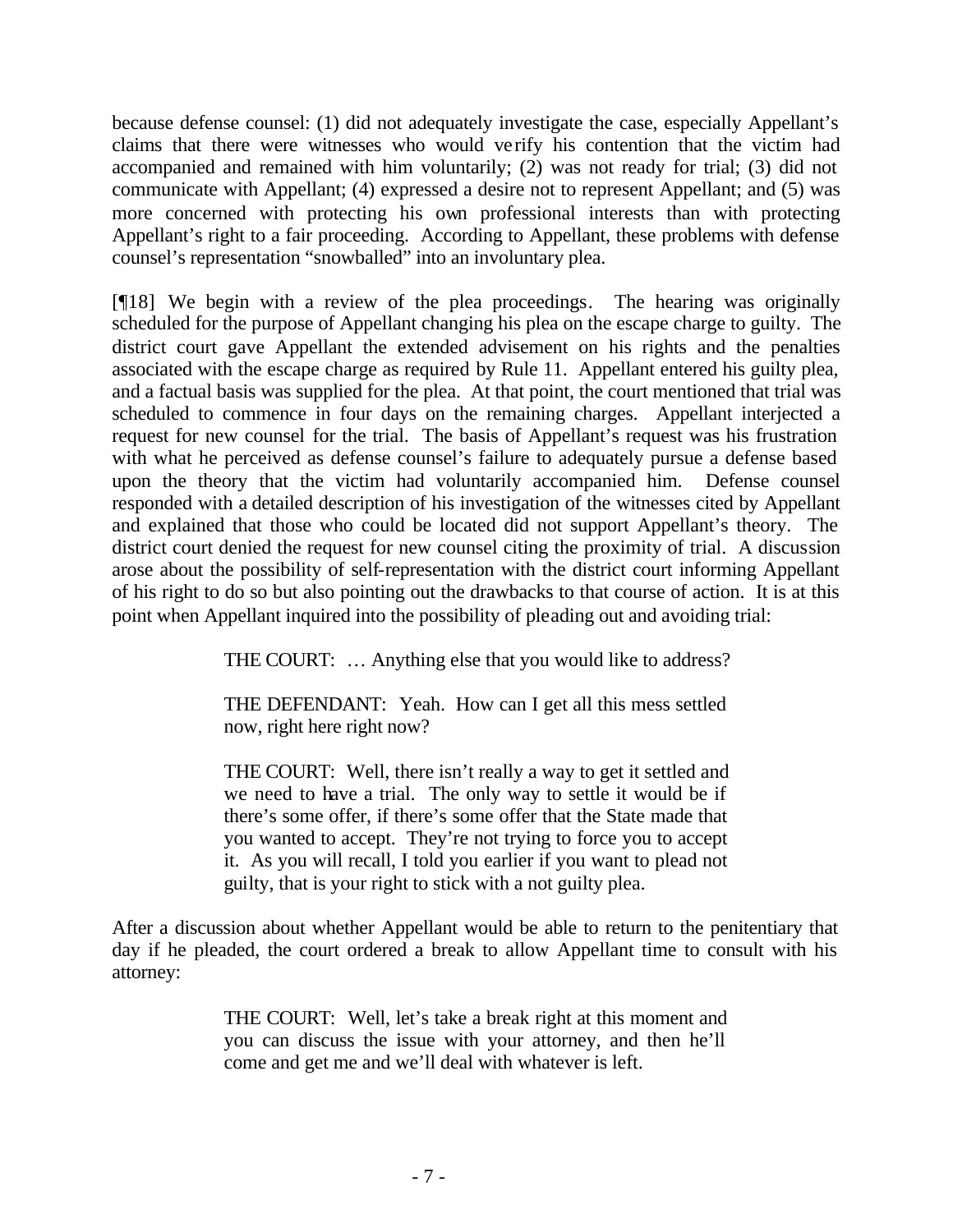because defense counsel: (1) did not adequately investigate the case, especially Appellant's claims that there were witnesses who would verify his contention that the victim had accompanied and remained with him voluntarily; (2) was not ready for trial; (3) did not communicate with Appellant; (4) expressed a desire not to represent Appellant; and (5) was more concerned with protecting his own professional interests than with protecting Appellant's right to a fair proceeding. According to Appellant, these problems with defense counsel's representation "snowballed" into an involuntary plea.

[¶18] We begin with a review of the plea proceedings. The hearing was originally scheduled for the purpose of Appellant changing his plea on the escape charge to guilty. The district court gave Appellant the extended advisement on his rights and the penalties associated with the escape charge as required by Rule 11. Appellant entered his guilty plea, and a factual basis was supplied for the plea. At that point, the court mentioned that trial was scheduled to commence in four days on the remaining charges. Appellant interjected a request for new counsel for the trial. The basis of Appellant's request was his frustration with what he perceived as defense counsel's failure to adequately pursue a defense based upon the theory that the victim had voluntarily accompanied him. Defense counsel responded with a detailed description of his investigation of the witnesses cited by Appellant and explained that those who could be located did not support Appellant's theory. The district court denied the request for new counsel citing the proximity of trial. A discussion arose about the possibility of self-representation with the district court informing Appellant of his right to do so but also pointing out the drawbacks to that course of action. It is at this point when Appellant inquired into the possibility of pleading out and avoiding trial:

THE COURT: … Anything else that you would like to address?

THE DEFENDANT: Yeah. How can I get all this mess settled now, right here right now?

THE COURT: Well, there isn't really a way to get it settled and we need to have a trial. The only way to settle it would be if there's some offer, if there's some offer that the State made that you wanted to accept. They're not trying to force you to accept it. As you will recall, I told you earlier if you want to plead not guilty, that is your right to stick with a not guilty plea.

After a discussion about whether Appellant would be able to return to the penitentiary that day if he pleaded, the court ordered a break to allow Appellant time to consult with his attorney:

> THE COURT: Well, let's take a break right at this moment and you can discuss the issue with your attorney, and then he'll come and get me and we'll deal with whatever is left.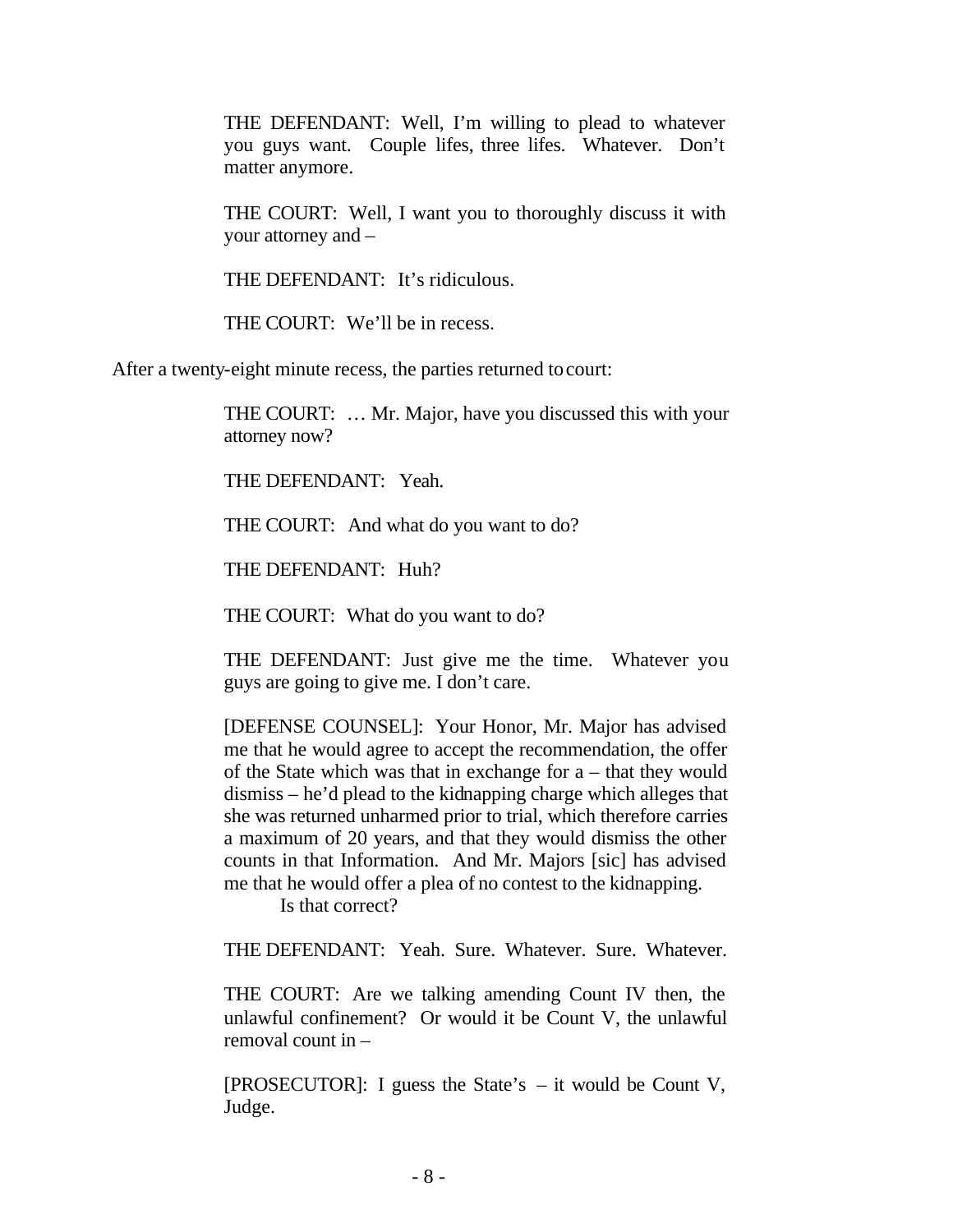THE DEFENDANT: Well, I'm willing to plead to whatever you guys want. Couple lifes, three lifes. Whatever. Don't matter anymore.

THE COURT: Well, I want you to thoroughly discuss it with your attorney and –

THE DEFENDANT: It's ridiculous.

THE COURT: We'll be in recess.

After a twenty-eight minute recess, the parties returned to court:

THE COURT: … Mr. Major, have you discussed this with your attorney now?

THE DEFENDANT: Yeah.

THE COURT: And what do you want to do?

THE DEFENDANT: Huh?

THE COURT: What do you want to do?

THE DEFENDANT: Just give me the time. Whatever you guys are going to give me. I don't care.

[DEFENSE COUNSEL]: Your Honor, Mr. Major has advised me that he would agree to accept the recommendation, the offer of the State which was that in exchange for a – that they would dismiss – he'd plead to the kidnapping charge which alleges that she was returned unharmed prior to trial, which therefore carries a maximum of 20 years, and that they would dismiss the other counts in that Information. And Mr. Majors [sic] has advised me that he would offer a plea of no contest to the kidnapping.

Is that correct?

THE DEFENDANT: Yeah. Sure. Whatever. Sure. Whatever.

THE COURT: Are we talking amending Count IV then, the unlawful confinement? Or would it be Count V, the unlawful removal count in –

[PROSECUTOR]: I guess the State's – it would be Count V, Judge.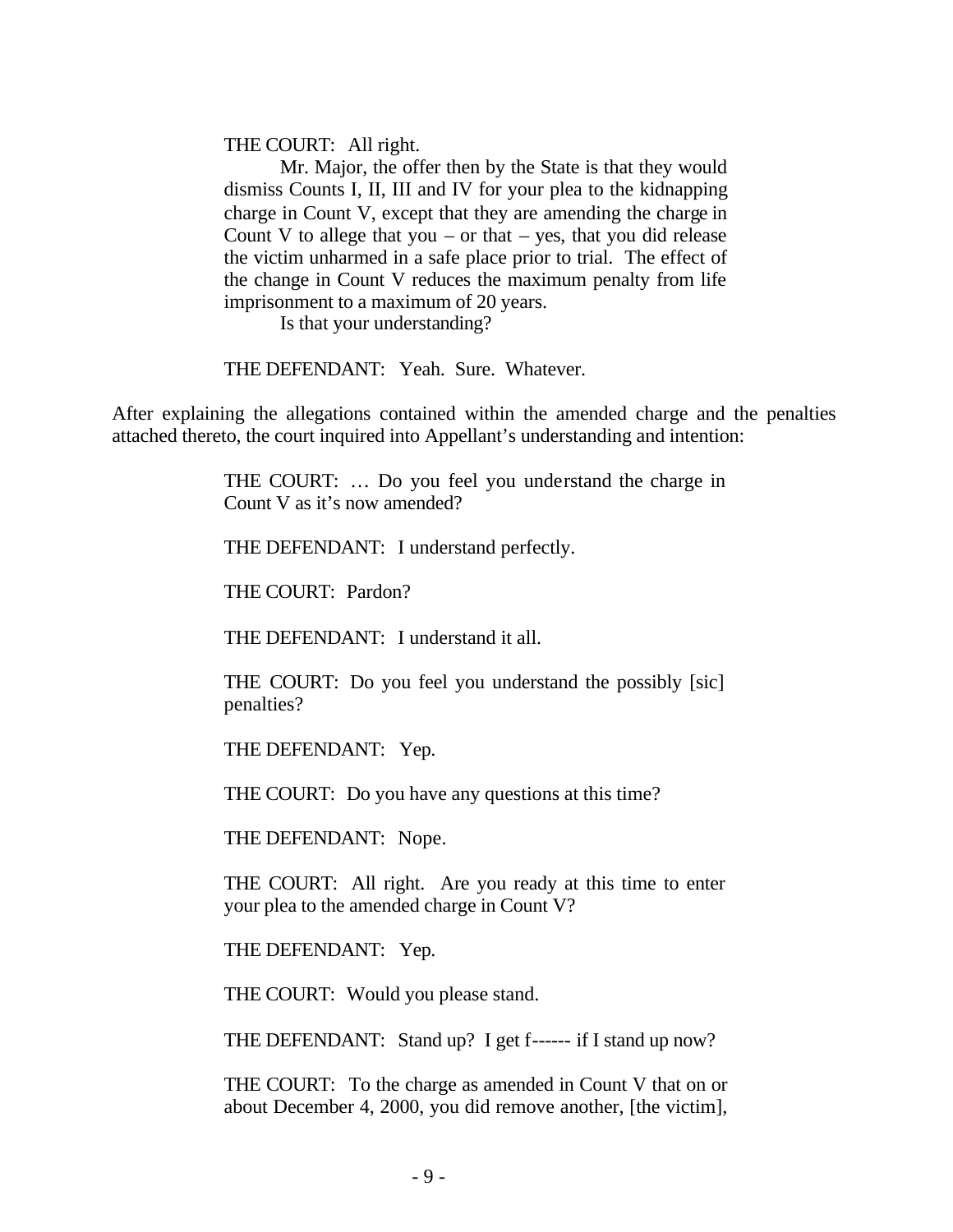THE COURT: All right.

Mr. Major, the offer then by the State is that they would dismiss Counts I, II, III and IV for your plea to the kidnapping charge in Count V, except that they are amending the charge in Count V to allege that you – or that – yes, that you did release the victim unharmed in a safe place prior to trial. The effect of the change in Count V reduces the maximum penalty from life imprisonment to a maximum of 20 years.

Is that your understanding?

THE DEFENDANT: Yeah. Sure. Whatever.

After explaining the allegations contained within the amended charge and the penalties attached thereto, the court inquired into Appellant's understanding and intention:

> THE COURT: … Do you feel you understand the charge in Count V as it's now amended?

THE DEFENDANT: I understand perfectly.

THE COURT: Pardon?

THE DEFENDANT: I understand it all.

THE COURT: Do you feel you understand the possibly [sic] penalties?

THE DEFENDANT: Yep.

THE COURT: Do you have any questions at this time?

THE DEFENDANT: Nope.

THE COURT: All right. Are you ready at this time to enter your plea to the amended charge in Count V?

THE DEFENDANT: Yep.

THE COURT: Would you please stand.

THE DEFENDANT: Stand up? I get f------ if I stand up now?

THE COURT: To the charge as amended in Count V that on or about December 4, 2000, you did remove another, [the victim],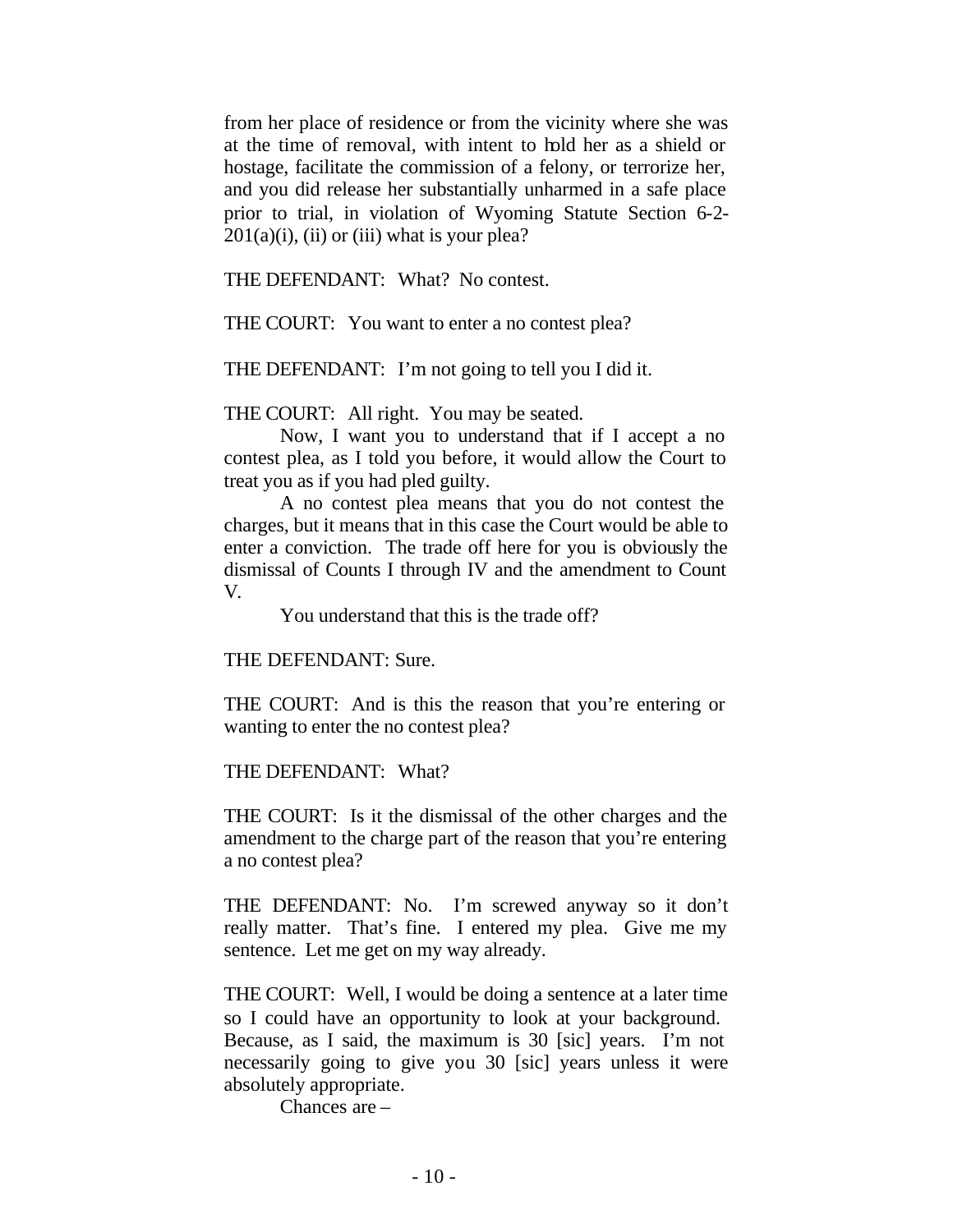from her place of residence or from the vicinity where she was at the time of removal, with intent to hold her as a shield or hostage, facilitate the commission of a felony, or terrorize her, and you did release her substantially unharmed in a safe place prior to trial, in violation of Wyoming Statute Section 6-2-  $201(a)(i)$ , (ii) or (iii) what is your plea?

THE DEFENDANT: What? No contest.

THE COURT: You want to enter a no contest plea?

THE DEFENDANT: I'm not going to tell you I did it.

THE COURT: All right. You may be seated.

Now, I want you to understand that if I accept a no contest plea, as I told you before, it would allow the Court to treat you as if you had pled guilty.

A no contest plea means that you do not contest the charges, but it means that in this case the Court would be able to enter a conviction. The trade off here for you is obviously the dismissal of Counts I through IV and the amendment to Count V.

You understand that this is the trade off?

### THE DEFENDANT: Sure.

THE COURT: And is this the reason that you're entering or wanting to enter the no contest plea?

THE DEFENDANT: What?

THE COURT: Is it the dismissal of the other charges and the amendment to the charge part of the reason that you're entering a no contest plea?

THE DEFENDANT: No. I'm screwed anyway so it don't really matter. That's fine. I entered my plea. Give me my sentence. Let me get on my way already.

THE COURT: Well, I would be doing a sentence at a later time so I could have an opportunity to look at your background. Because, as I said, the maximum is 30 [sic] years. I'm not necessarily going to give you 30 [sic] years unless it were absolutely appropriate.

Chances are –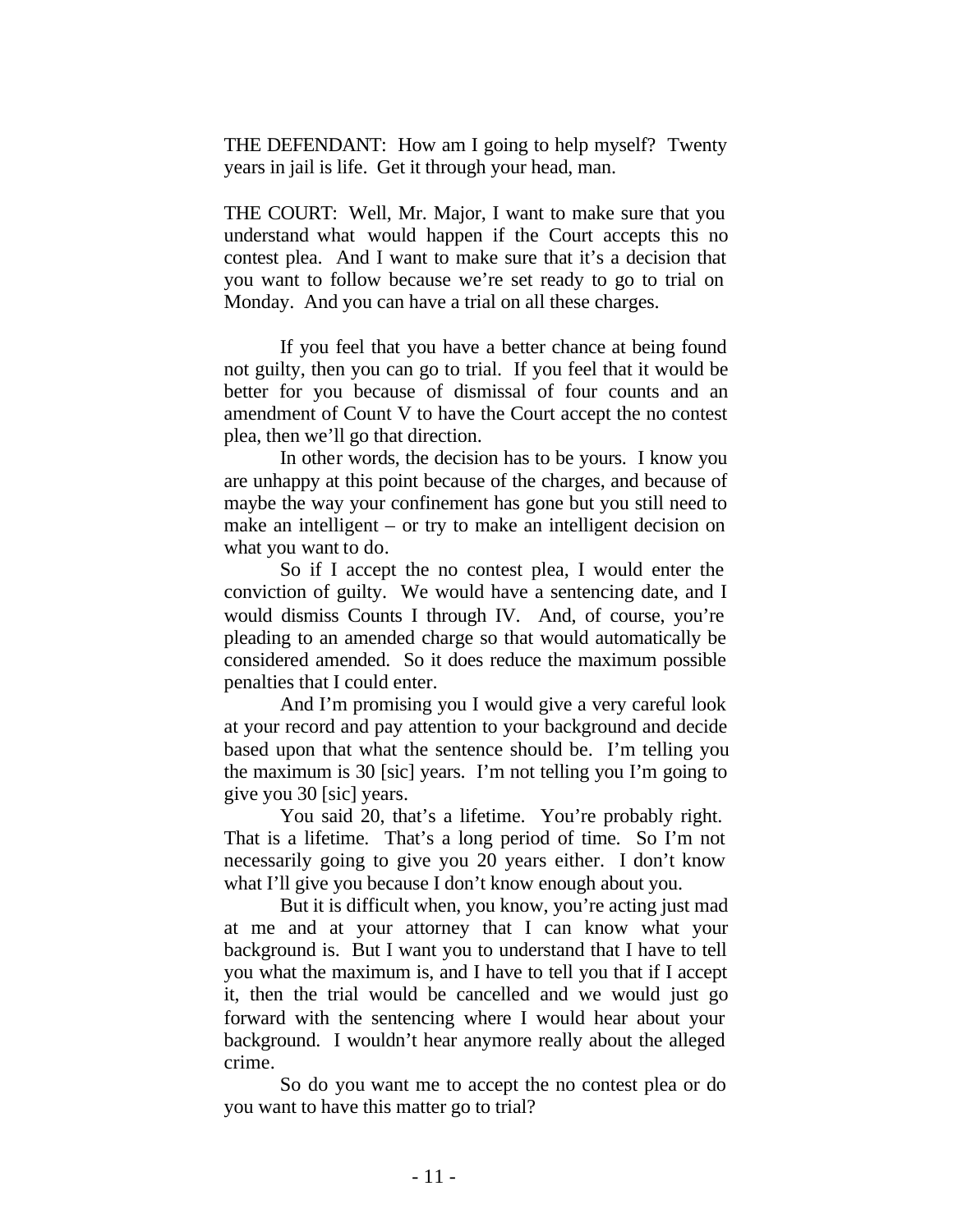THE DEFENDANT: How am I going to help myself? Twenty years in jail is life. Get it through your head, man.

THE COURT: Well, Mr. Major, I want to make sure that you understand what would happen if the Court accepts this no contest plea. And I want to make sure that it's a decision that you want to follow because we're set ready to go to trial on Monday. And you can have a trial on all these charges.

If you feel that you have a better chance at being found not guilty, then you can go to trial. If you feel that it would be better for you because of dismissal of four counts and an amendment of Count V to have the Court accept the no contest plea, then we'll go that direction.

In other words, the decision has to be yours. I know you are unhappy at this point because of the charges, and because of maybe the way your confinement has gone but you still need to make an intelligent – or try to make an intelligent decision on what you want to do.

So if I accept the no contest plea, I would enter the conviction of guilty. We would have a sentencing date, and I would dismiss Counts I through IV. And, of course, you're pleading to an amended charge so that would automatically be considered amended. So it does reduce the maximum possible penalties that I could enter.

And I'm promising you I would give a very careful look at your record and pay attention to your background and decide based upon that what the sentence should be. I'm telling you the maximum is 30 [sic] years. I'm not telling you I'm going to give you 30 [sic] years.

You said 20, that's a lifetime. You're probably right. That is a lifetime. That's a long period of time. So I'm not necessarily going to give you 20 years either. I don't know what I'll give you because I don't know enough about you.

But it is difficult when, you know, you're acting just mad at me and at your attorney that I can know what your background is. But I want you to understand that I have to tell you what the maximum is, and I have to tell you that if I accept it, then the trial would be cancelled and we would just go forward with the sentencing where I would hear about your background. I wouldn't hear anymore really about the alleged crime.

So do you want me to accept the no contest plea or do you want to have this matter go to trial?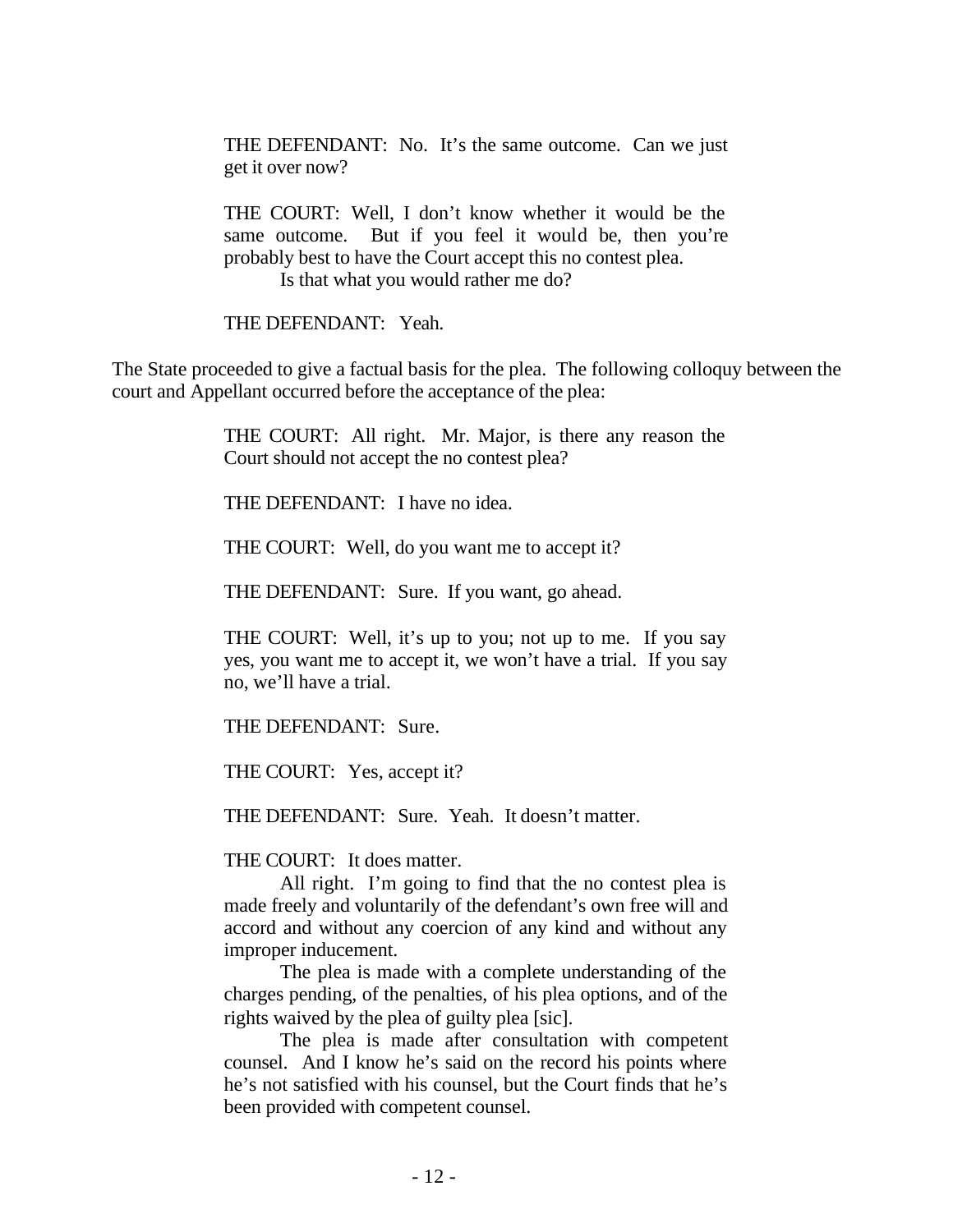THE DEFENDANT: No. It's the same outcome. Can we just get it over now?

THE COURT: Well, I don't know whether it would be the same outcome. But if you feel it would be, then you're probably best to have the Court accept this no contest plea. Is that what you would rather me do?

THE DEFENDANT: Yeah.

The State proceeded to give a factual basis for the plea. The following colloquy between the court and Appellant occurred before the acceptance of the plea:

> THE COURT: All right. Mr. Major, is there any reason the Court should not accept the no contest plea?

THE DEFENDANT: I have no idea.

THE COURT: Well, do you want me to accept it?

THE DEFENDANT: Sure. If you want, go ahead.

THE COURT: Well, it's up to you; not up to me. If you say yes, you want me to accept it, we won't have a trial. If you say no, we'll have a trial.

THE DEFENDANT: Sure.

THE COURT: Yes, accept it?

THE DEFENDANT: Sure. Yeah. It doesn't matter.

THE COURT: It does matter.

All right. I'm going to find that the no contest plea is made freely and voluntarily of the defendant's own free will and accord and without any coercion of any kind and without any improper inducement.

The plea is made with a complete understanding of the charges pending, of the penalties, of his plea options, and of the rights waived by the plea of guilty plea [sic].

The plea is made after consultation with competent counsel. And I know he's said on the record his points where he's not satisfied with his counsel, but the Court finds that he's been provided with competent counsel.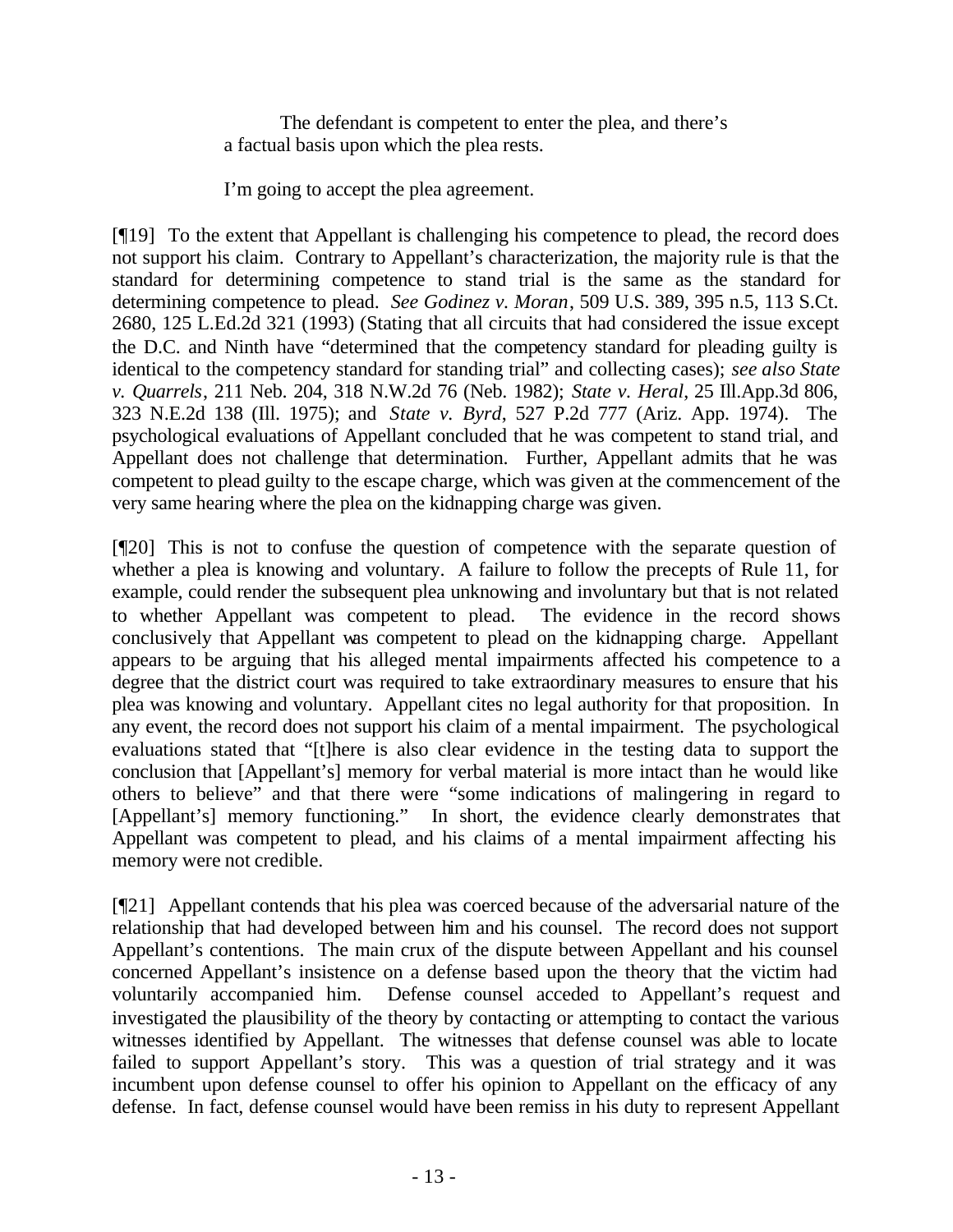The defendant is competent to enter the plea, and there's a factual basis upon which the plea rests.

I'm going to accept the plea agreement.

[¶19] To the extent that Appellant is challenging his competence to plead, the record does not support his claim. Contrary to Appellant's characterization, the majority rule is that the standard for determining competence to stand trial is the same as the standard for determining competence to plead. *See Godinez v. Moran*, 509 U.S. 389, 395 n.5, 113 S.Ct. 2680, 125 L.Ed.2d 321 (1993) (Stating that all circuits that had considered the issue except the D.C. and Ninth have "determined that the competency standard for pleading guilty is identical to the competency standard for standing trial" and collecting cases); *see also State v. Quarrels*, 211 Neb. 204, 318 N.W.2d 76 (Neb. 1982); *State v. Heral*, 25 Ill.App.3d 806, 323 N.E.2d 138 (Ill. 1975); and *State v. Byrd*, 527 P.2d 777 (Ariz. App. 1974). The psychological evaluations of Appellant concluded that he was competent to stand trial, and Appellant does not challenge that determination. Further, Appellant admits that he was competent to plead guilty to the escape charge, which was given at the commencement of the very same hearing where the plea on the kidnapping charge was given.

[¶20] This is not to confuse the question of competence with the separate question of whether a plea is knowing and voluntary. A failure to follow the precepts of Rule 11, for example, could render the subsequent plea unknowing and involuntary but that is not related to whether Appellant was competent to plead. The evidence in the record shows conclusively that Appellant was competent to plead on the kidnapping charge. Appellant appears to be arguing that his alleged mental impairments affected his competence to a degree that the district court was required to take extraordinary measures to ensure that his plea was knowing and voluntary. Appellant cites no legal authority for that proposition. In any event, the record does not support his claim of a mental impairment. The psychological evaluations stated that "[t]here is also clear evidence in the testing data to support the conclusion that [Appellant's] memory for verbal material is more intact than he would like others to believe" and that there were "some indications of malingering in regard to [Appellant's] memory functioning." In short, the evidence clearly demonstrates that Appellant was competent to plead, and his claims of a mental impairment affecting his memory were not credible.

[¶21] Appellant contends that his plea was coerced because of the adversarial nature of the relationship that had developed between him and his counsel. The record does not support Appellant's contentions. The main crux of the dispute between Appellant and his counsel concerned Appellant's insistence on a defense based upon the theory that the victim had voluntarily accompanied him. Defense counsel acceded to Appellant's request and investigated the plausibility of the theory by contacting or attempting to contact the various witnesses identified by Appellant. The witnesses that defense counsel was able to locate failed to support Appellant's story. This was a question of trial strategy and it was incumbent upon defense counsel to offer his opinion to Appellant on the efficacy of any defense. In fact, defense counsel would have been remiss in his duty to represent Appellant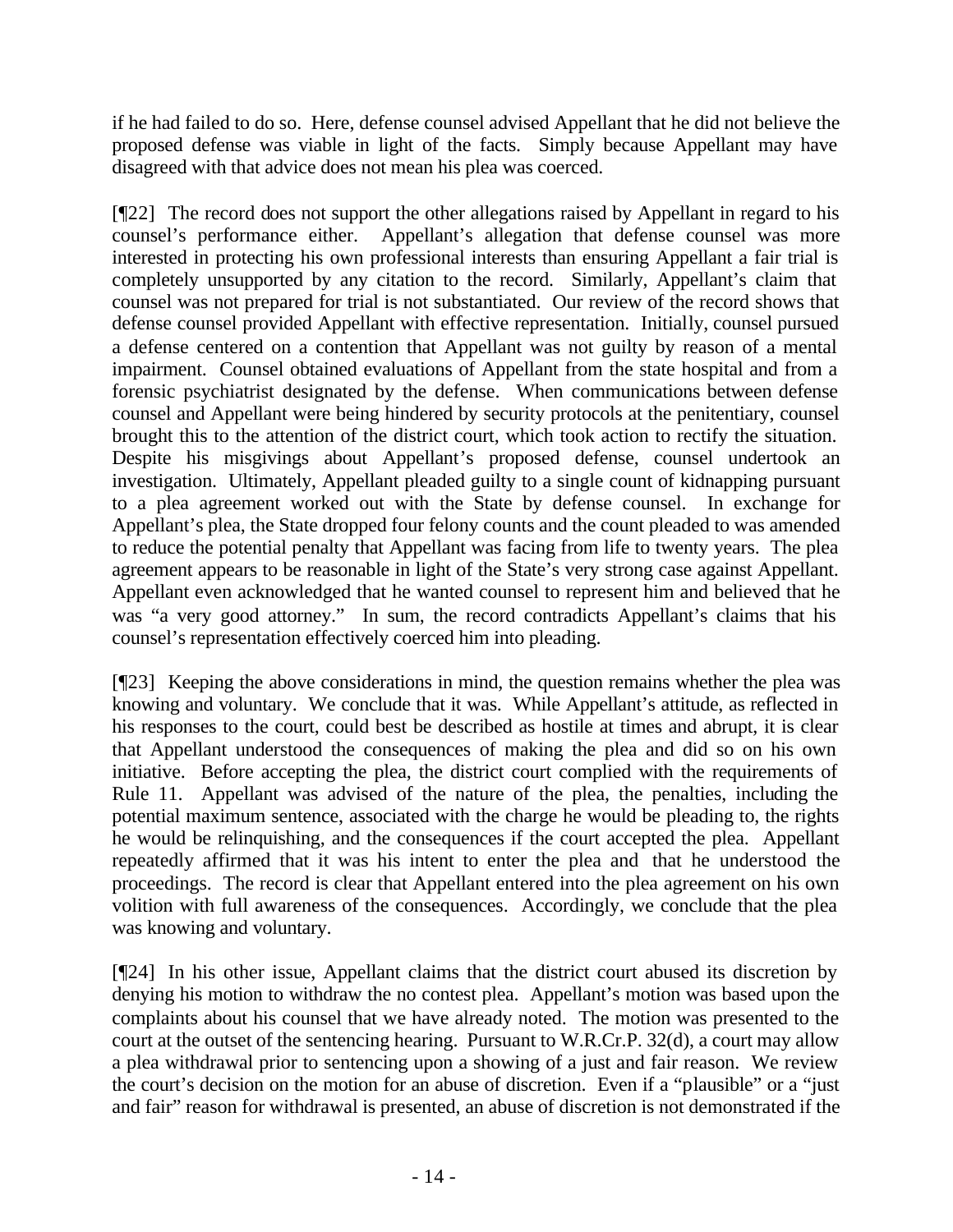if he had failed to do so. Here, defense counsel advised Appellant that he did not believe the proposed defense was viable in light of the facts. Simply because Appellant may have disagreed with that advice does not mean his plea was coerced.

[¶22] The record does not support the other allegations raised by Appellant in regard to his counsel's performance either. Appellant's allegation that defense counsel was more interested in protecting his own professional interests than ensuring Appellant a fair trial is completely unsupported by any citation to the record. Similarly, Appellant's claim that counsel was not prepared for trial is not substantiated. Our review of the record shows that defense counsel provided Appellant with effective representation. Initially, counsel pursued a defense centered on a contention that Appellant was not guilty by reason of a mental impairment. Counsel obtained evaluations of Appellant from the state hospital and from a forensic psychiatrist designated by the defense. When communications between defense counsel and Appellant were being hindered by security protocols at the penitentiary, counsel brought this to the attention of the district court, which took action to rectify the situation. Despite his misgivings about Appellant's proposed defense, counsel undertook an investigation. Ultimately, Appellant pleaded guilty to a single count of kidnapping pursuant to a plea agreement worked out with the State by defense counsel. In exchange for Appellant's plea, the State dropped four felony counts and the count pleaded to was amended to reduce the potential penalty that Appellant was facing from life to twenty years. The plea agreement appears to be reasonable in light of the State's very strong case against Appellant. Appellant even acknowledged that he wanted counsel to represent him and believed that he was "a very good attorney." In sum, the record contradicts Appellant's claims that his counsel's representation effectively coerced him into pleading.

[¶23] Keeping the above considerations in mind, the question remains whether the plea was knowing and voluntary. We conclude that it was. While Appellant's attitude, as reflected in his responses to the court, could best be described as hostile at times and abrupt, it is clear that Appellant understood the consequences of making the plea and did so on his own initiative. Before accepting the plea, the district court complied with the requirements of Rule 11. Appellant was advised of the nature of the plea, the penalties, including the potential maximum sentence, associated with the charge he would be pleading to, the rights he would be relinquishing, and the consequences if the court accepted the plea. Appellant repeatedly affirmed that it was his intent to enter the plea and that he understood the proceedings. The record is clear that Appellant entered into the plea agreement on his own volition with full awareness of the consequences. Accordingly, we conclude that the plea was knowing and voluntary.

[¶24] In his other issue, Appellant claims that the district court abused its discretion by denying his motion to withdraw the no contest plea. Appellant's motion was based upon the complaints about his counsel that we have already noted. The motion was presented to the court at the outset of the sentencing hearing. Pursuant to W.R.Cr.P. 32(d), a court may allow a plea withdrawal prior to sentencing upon a showing of a just and fair reason. We review the court's decision on the motion for an abuse of discretion. Even if a "plausible" or a "just and fair" reason for withdrawal is presented, an abuse of discretion is not demonstrated if the